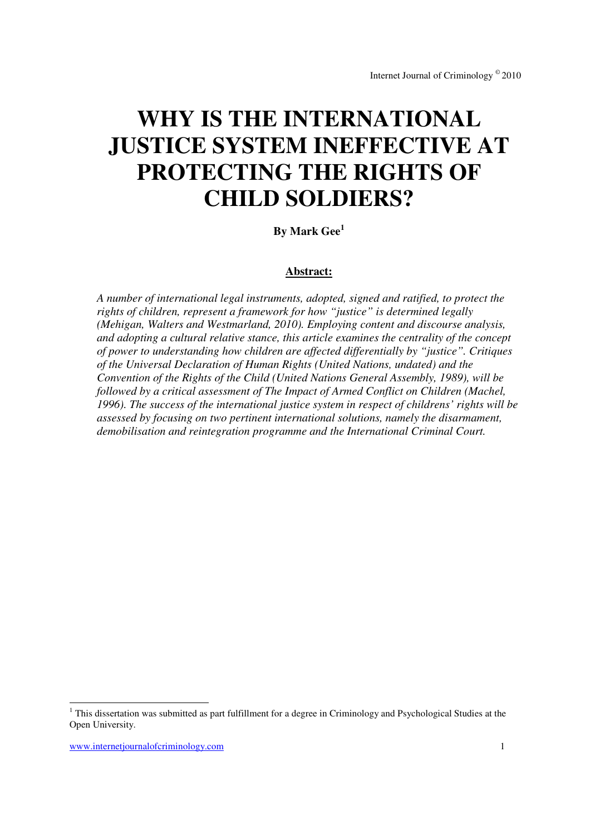# **WHY IS THE INTERNATIONAL JUSTICE SYSTEM INEFFECTIVE AT PROTECTING THE RIGHTS OF CHILD SOLDIERS?**

## **By Mark Gee<sup>1</sup>**

## **Abstract:**

*A number of international legal instruments, adopted, signed and ratified, to protect the rights of children, represent a framework for how "justice" is determined legally (Mehigan, Walters and Westmarland, 2010). Employing content and discourse analysis, and adopting a cultural relative stance, this article examines the centrality of the concept of power to understanding how children are affected differentially by "justice". Critiques of the Universal Declaration of Human Rights (United Nations, undated) and the Convention of the Rights of the Child (United Nations General Assembly, 1989), will be followed by a critical assessment of The Impact of Armed Conflict on Children (Machel, 1996). The success of the international justice system in respect of childrens' rights will be assessed by focusing on two pertinent international solutions, namely the disarmament, demobilisation and reintegration programme and the International Criminal Court.* 

 $\overline{a}$ 

<sup>&</sup>lt;sup>1</sup> This dissertation was submitted as part fulfillment for a degree in Criminology and Psychological Studies at the Open University.

www.internetjournalofcriminology.com 1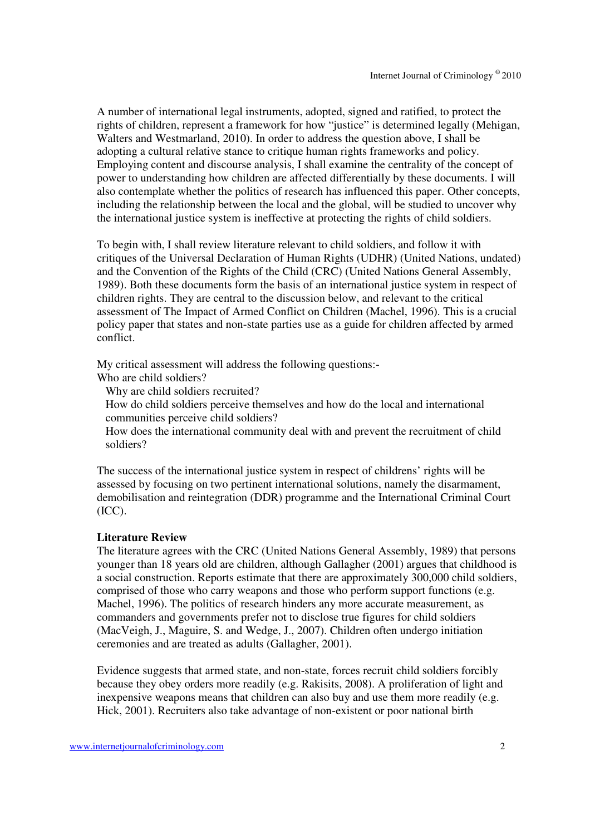A number of international legal instruments, adopted, signed and ratified, to protect the rights of children, represent a framework for how "justice" is determined legally (Mehigan, Walters and Westmarland, 2010). In order to address the question above, I shall be adopting a cultural relative stance to critique human rights frameworks and policy. Employing content and discourse analysis, I shall examine the centrality of the concept of power to understanding how children are affected differentially by these documents. I will also contemplate whether the politics of research has influenced this paper. Other concepts, including the relationship between the local and the global, will be studied to uncover why the international justice system is ineffective at protecting the rights of child soldiers.

To begin with, I shall review literature relevant to child soldiers, and follow it with critiques of the Universal Declaration of Human Rights (UDHR) (United Nations, undated) and the Convention of the Rights of the Child (CRC) (United Nations General Assembly, 1989). Both these documents form the basis of an international justice system in respect of children rights. They are central to the discussion below, and relevant to the critical assessment of The Impact of Armed Conflict on Children (Machel, 1996). This is a crucial policy paper that states and non-state parties use as a guide for children affected by armed conflict.

My critical assessment will address the following questions:-

Who are child soldiers?

Why are child soldiers recruited?

How do child soldiers perceive themselves and how do the local and international communities perceive child soldiers?

How does the international community deal with and prevent the recruitment of child soldiers?

The success of the international justice system in respect of childrens' rights will be assessed by focusing on two pertinent international solutions, namely the disarmament, demobilisation and reintegration (DDR) programme and the International Criminal Court (ICC).

#### **Literature Review**

The literature agrees with the CRC (United Nations General Assembly, 1989) that persons younger than 18 years old are children, although Gallagher (2001) argues that childhood is a social construction. Reports estimate that there are approximately 300,000 child soldiers, comprised of those who carry weapons and those who perform support functions (e.g. Machel, 1996). The politics of research hinders any more accurate measurement, as commanders and governments prefer not to disclose true figures for child soldiers (MacVeigh, J., Maguire, S. and Wedge, J., 2007). Children often undergo initiation ceremonies and are treated as adults (Gallagher, 2001).

Evidence suggests that armed state, and non-state, forces recruit child soldiers forcibly because they obey orders more readily (e.g. Rakisits, 2008). A proliferation of light and inexpensive weapons means that children can also buy and use them more readily (e.g. Hick, 2001). Recruiters also take advantage of non-existent or poor national birth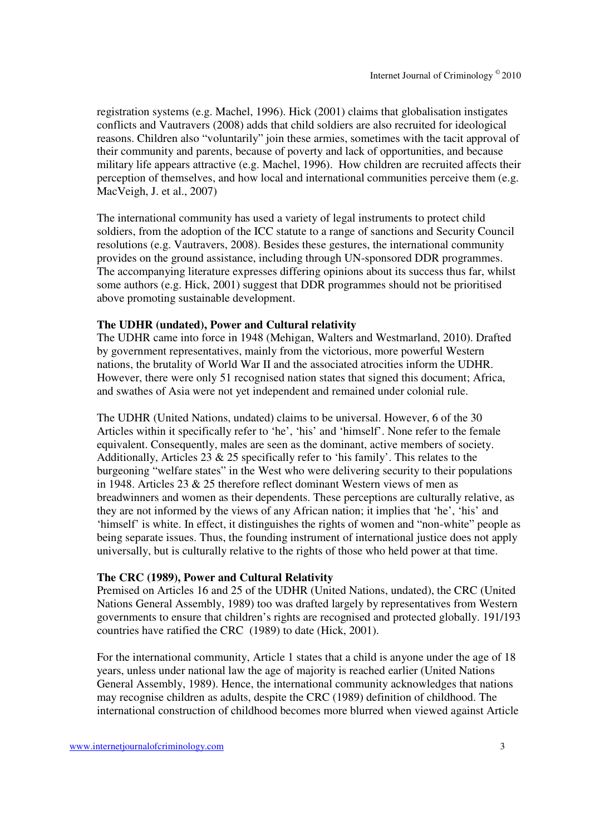registration systems (e.g. Machel, 1996). Hick (2001) claims that globalisation instigates conflicts and Vautravers (2008) adds that child soldiers are also recruited for ideological reasons. Children also "voluntarily" join these armies, sometimes with the tacit approval of their community and parents, because of poverty and lack of opportunities, and because military life appears attractive (e.g. Machel, 1996). How children are recruited affects their perception of themselves, and how local and international communities perceive them (e.g. MacVeigh, J. et al., 2007)

The international community has used a variety of legal instruments to protect child soldiers, from the adoption of the ICC statute to a range of sanctions and Security Council resolutions (e.g. Vautravers, 2008). Besides these gestures, the international community provides on the ground assistance, including through UN-sponsored DDR programmes. The accompanying literature expresses differing opinions about its success thus far, whilst some authors (e.g. Hick, 2001) suggest that DDR programmes should not be prioritised above promoting sustainable development.

## **The UDHR (undated), Power and Cultural relativity**

The UDHR came into force in 1948 (Mehigan, Walters and Westmarland, 2010). Drafted by government representatives, mainly from the victorious, more powerful Western nations, the brutality of World War II and the associated atrocities inform the UDHR. However, there were only 51 recognised nation states that signed this document; Africa, and swathes of Asia were not yet independent and remained under colonial rule.

The UDHR (United Nations, undated) claims to be universal. However, 6 of the 30 Articles within it specifically refer to 'he', 'his' and 'himself'. None refer to the female equivalent. Consequently, males are seen as the dominant, active members of society. Additionally, Articles 23  $\&$  25 specifically refer to 'his family'. This relates to the burgeoning "welfare states" in the West who were delivering security to their populations in 1948. Articles 23 & 25 therefore reflect dominant Western views of men as breadwinners and women as their dependents. These perceptions are culturally relative, as they are not informed by the views of any African nation; it implies that 'he', 'his' and 'himself' is white. In effect, it distinguishes the rights of women and "non-white" people as being separate issues. Thus, the founding instrument of international justice does not apply universally, but is culturally relative to the rights of those who held power at that time.

## **The CRC (1989), Power and Cultural Relativity**

Premised on Articles 16 and 25 of the UDHR (United Nations, undated), the CRC (United Nations General Assembly, 1989) too was drafted largely by representatives from Western governments to ensure that children's rights are recognised and protected globally. 191/193 countries have ratified the CRC (1989) to date (Hick, 2001).

For the international community, Article 1 states that a child is anyone under the age of 18 years, unless under national law the age of majority is reached earlier (United Nations General Assembly, 1989). Hence, the international community acknowledges that nations may recognise children as adults, despite the CRC (1989) definition of childhood. The international construction of childhood becomes more blurred when viewed against Article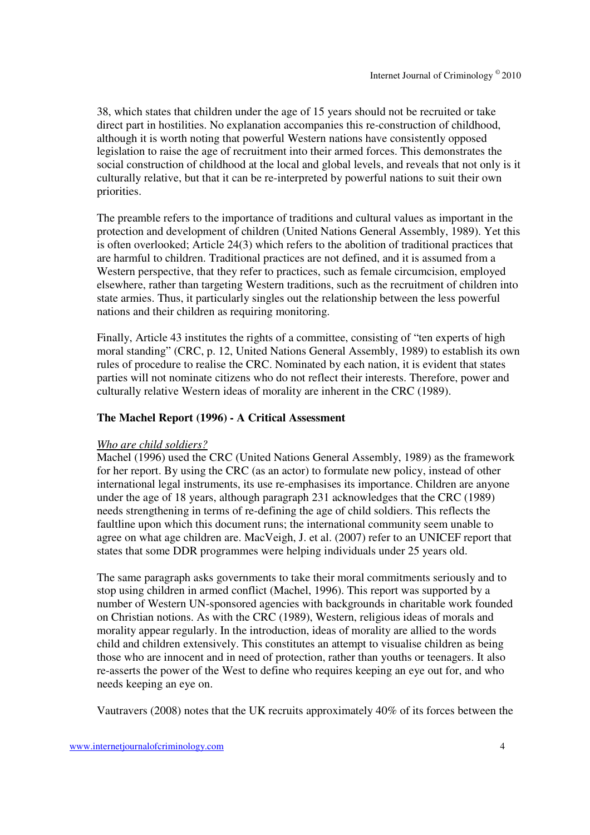38, which states that children under the age of 15 years should not be recruited or take direct part in hostilities. No explanation accompanies this re-construction of childhood, although it is worth noting that powerful Western nations have consistently opposed legislation to raise the age of recruitment into their armed forces. This demonstrates the social construction of childhood at the local and global levels, and reveals that not only is it culturally relative, but that it can be re-interpreted by powerful nations to suit their own priorities.

The preamble refers to the importance of traditions and cultural values as important in the protection and development of children (United Nations General Assembly, 1989). Yet this is often overlooked; Article 24(3) which refers to the abolition of traditional practices that are harmful to children. Traditional practices are not defined, and it is assumed from a Western perspective, that they refer to practices, such as female circumcision, employed elsewhere, rather than targeting Western traditions, such as the recruitment of children into state armies. Thus, it particularly singles out the relationship between the less powerful nations and their children as requiring monitoring.

Finally, Article 43 institutes the rights of a committee, consisting of "ten experts of high moral standing" (CRC, p. 12, United Nations General Assembly, 1989) to establish its own rules of procedure to realise the CRC. Nominated by each nation, it is evident that states parties will not nominate citizens who do not reflect their interests. Therefore, power and culturally relative Western ideas of morality are inherent in the CRC (1989).

## **The Machel Report (1996) - A Critical Assessment**

#### *Who are child soldiers?*

Machel (1996) used the CRC (United Nations General Assembly, 1989) as the framework for her report. By using the CRC (as an actor) to formulate new policy, instead of other international legal instruments, its use re-emphasises its importance. Children are anyone under the age of 18 years, although paragraph 231 acknowledges that the CRC (1989) needs strengthening in terms of re-defining the age of child soldiers. This reflects the faultline upon which this document runs; the international community seem unable to agree on what age children are. MacVeigh, J. et al. (2007) refer to an UNICEF report that states that some DDR programmes were helping individuals under 25 years old.

The same paragraph asks governments to take their moral commitments seriously and to stop using children in armed conflict (Machel, 1996). This report was supported by a number of Western UN-sponsored agencies with backgrounds in charitable work founded on Christian notions. As with the CRC (1989), Western, religious ideas of morals and morality appear regularly. In the introduction, ideas of morality are allied to the words child and children extensively. This constitutes an attempt to visualise children as being those who are innocent and in need of protection, rather than youths or teenagers. It also re-asserts the power of the West to define who requires keeping an eye out for, and who needs keeping an eye on.

Vautravers (2008) notes that the UK recruits approximately 40% of its forces between the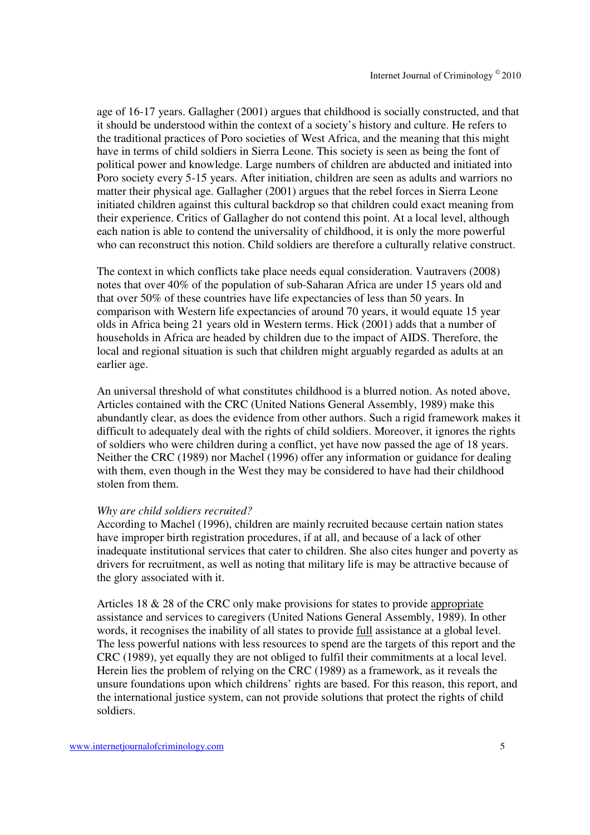age of 16-17 years. Gallagher (2001) argues that childhood is socially constructed, and that it should be understood within the context of a society's history and culture. He refers to the traditional practices of Poro societies of West Africa, and the meaning that this might have in terms of child soldiers in Sierra Leone. This society is seen as being the font of political power and knowledge. Large numbers of children are abducted and initiated into Poro society every 5-15 years. After initiation, children are seen as adults and warriors no matter their physical age. Gallagher (2001) argues that the rebel forces in Sierra Leone initiated children against this cultural backdrop so that children could exact meaning from their experience. Critics of Gallagher do not contend this point. At a local level, although each nation is able to contend the universality of childhood, it is only the more powerful who can reconstruct this notion. Child soldiers are therefore a culturally relative construct.

The context in which conflicts take place needs equal consideration. Vautravers (2008) notes that over 40% of the population of sub-Saharan Africa are under 15 years old and that over 50% of these countries have life expectancies of less than 50 years. In comparison with Western life expectancies of around 70 years, it would equate 15 year olds in Africa being 21 years old in Western terms. Hick (2001) adds that a number of households in Africa are headed by children due to the impact of AIDS. Therefore, the local and regional situation is such that children might arguably regarded as adults at an earlier age.

An universal threshold of what constitutes childhood is a blurred notion. As noted above, Articles contained with the CRC (United Nations General Assembly, 1989) make this abundantly clear, as does the evidence from other authors. Such a rigid framework makes it difficult to adequately deal with the rights of child soldiers. Moreover, it ignores the rights of soldiers who were children during a conflict, yet have now passed the age of 18 years. Neither the CRC (1989) nor Machel (1996) offer any information or guidance for dealing with them, even though in the West they may be considered to have had their childhood stolen from them.

#### *Why are child soldiers recruited?*

According to Machel (1996), children are mainly recruited because certain nation states have improper birth registration procedures, if at all, and because of a lack of other inadequate institutional services that cater to children. She also cites hunger and poverty as drivers for recruitment, as well as noting that military life is may be attractive because of the glory associated with it.

Articles 18 & 28 of the CRC only make provisions for states to provide appropriate assistance and services to caregivers (United Nations General Assembly, 1989). In other words, it recognises the inability of all states to provide full assistance at a global level. The less powerful nations with less resources to spend are the targets of this report and the CRC (1989), yet equally they are not obliged to fulfil their commitments at a local level. Herein lies the problem of relying on the CRC (1989) as a framework, as it reveals the unsure foundations upon which childrens' rights are based. For this reason, this report, and the international justice system, can not provide solutions that protect the rights of child soldiers.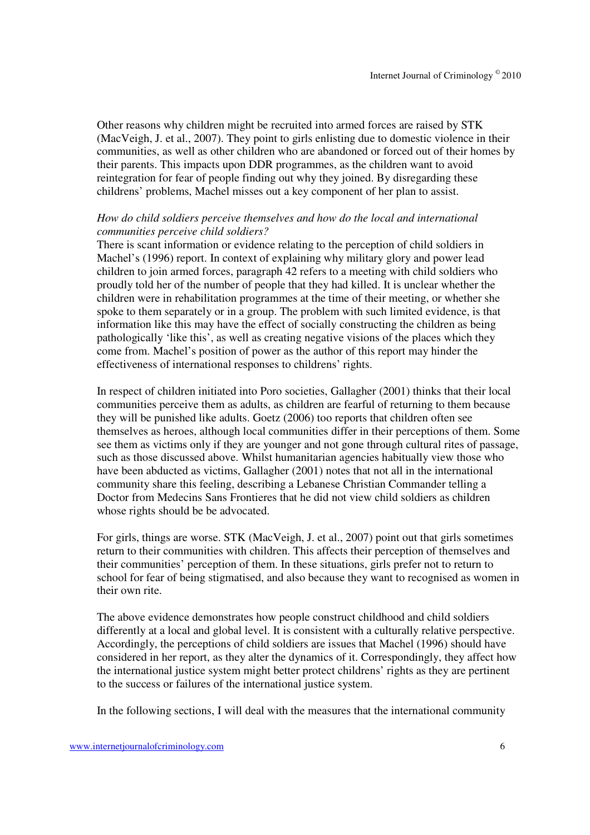Other reasons why children might be recruited into armed forces are raised by STK (MacVeigh, J. et al., 2007). They point to girls enlisting due to domestic violence in their communities, as well as other children who are abandoned or forced out of their homes by their parents. This impacts upon DDR programmes, as the children want to avoid reintegration for fear of people finding out why they joined. By disregarding these childrens' problems, Machel misses out a key component of her plan to assist.

## *How do child soldiers perceive themselves and how do the local and international communities perceive child soldiers?*

There is scant information or evidence relating to the perception of child soldiers in Machel's (1996) report. In context of explaining why military glory and power lead children to join armed forces, paragraph 42 refers to a meeting with child soldiers who proudly told her of the number of people that they had killed. It is unclear whether the children were in rehabilitation programmes at the time of their meeting, or whether she spoke to them separately or in a group. The problem with such limited evidence, is that information like this may have the effect of socially constructing the children as being pathologically 'like this', as well as creating negative visions of the places which they come from. Machel's position of power as the author of this report may hinder the effectiveness of international responses to childrens' rights.

In respect of children initiated into Poro societies, Gallagher (2001) thinks that their local communities perceive them as adults, as children are fearful of returning to them because they will be punished like adults. Goetz (2006) too reports that children often see themselves as heroes, although local communities differ in their perceptions of them. Some see them as victims only if they are younger and not gone through cultural rites of passage, such as those discussed above. Whilst humanitarian agencies habitually view those who have been abducted as victims, Gallagher (2001) notes that not all in the international community share this feeling, describing a Lebanese Christian Commander telling a Doctor from Medecins Sans Frontieres that he did not view child soldiers as children whose rights should be be advocated.

For girls, things are worse. STK (MacVeigh, J. et al., 2007) point out that girls sometimes return to their communities with children. This affects their perception of themselves and their communities' perception of them. In these situations, girls prefer not to return to school for fear of being stigmatised, and also because they want to recognised as women in their own rite.

The above evidence demonstrates how people construct childhood and child soldiers differently at a local and global level. It is consistent with a culturally relative perspective. Accordingly, the perceptions of child soldiers are issues that Machel (1996) should have considered in her report, as they alter the dynamics of it. Correspondingly, they affect how the international justice system might better protect childrens' rights as they are pertinent to the success or failures of the international justice system.

In the following sections, I will deal with the measures that the international community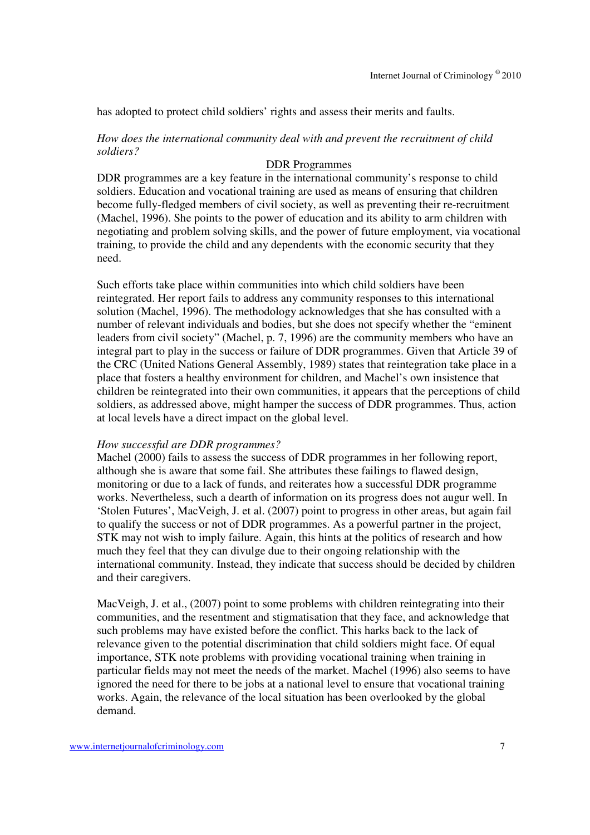has adopted to protect child soldiers' rights and assess their merits and faults.

## *How does the international community deal with and prevent the recruitment of child soldiers?*

## DDR Programmes

DDR programmes are a key feature in the international community's response to child soldiers. Education and vocational training are used as means of ensuring that children become fully-fledged members of civil society, as well as preventing their re-recruitment (Machel, 1996). She points to the power of education and its ability to arm children with negotiating and problem solving skills, and the power of future employment, via vocational training, to provide the child and any dependents with the economic security that they need.

Such efforts take place within communities into which child soldiers have been reintegrated. Her report fails to address any community responses to this international solution (Machel, 1996). The methodology acknowledges that she has consulted with a number of relevant individuals and bodies, but she does not specify whether the "eminent leaders from civil society" (Machel, p. 7, 1996) are the community members who have an integral part to play in the success or failure of DDR programmes. Given that Article 39 of the CRC (United Nations General Assembly, 1989) states that reintegration take place in a place that fosters a healthy environment for children, and Machel's own insistence that children be reintegrated into their own communities, it appears that the perceptions of child soldiers, as addressed above, might hamper the success of DDR programmes. Thus, action at local levels have a direct impact on the global level.

#### *How successful are DDR programmes?*

Machel (2000) fails to assess the success of DDR programmes in her following report, although she is aware that some fail. She attributes these failings to flawed design, monitoring or due to a lack of funds, and reiterates how a successful DDR programme works. Nevertheless, such a dearth of information on its progress does not augur well. In 'Stolen Futures', MacVeigh, J. et al. (2007) point to progress in other areas, but again fail to qualify the success or not of DDR programmes. As a powerful partner in the project, STK may not wish to imply failure. Again, this hints at the politics of research and how much they feel that they can divulge due to their ongoing relationship with the international community. Instead, they indicate that success should be decided by children and their caregivers.

MacVeigh, J. et al., (2007) point to some problems with children reintegrating into their communities, and the resentment and stigmatisation that they face, and acknowledge that such problems may have existed before the conflict. This harks back to the lack of relevance given to the potential discrimination that child soldiers might face. Of equal importance, STK note problems with providing vocational training when training in particular fields may not meet the needs of the market. Machel (1996) also seems to have ignored the need for there to be jobs at a national level to ensure that vocational training works. Again, the relevance of the local situation has been overlooked by the global demand.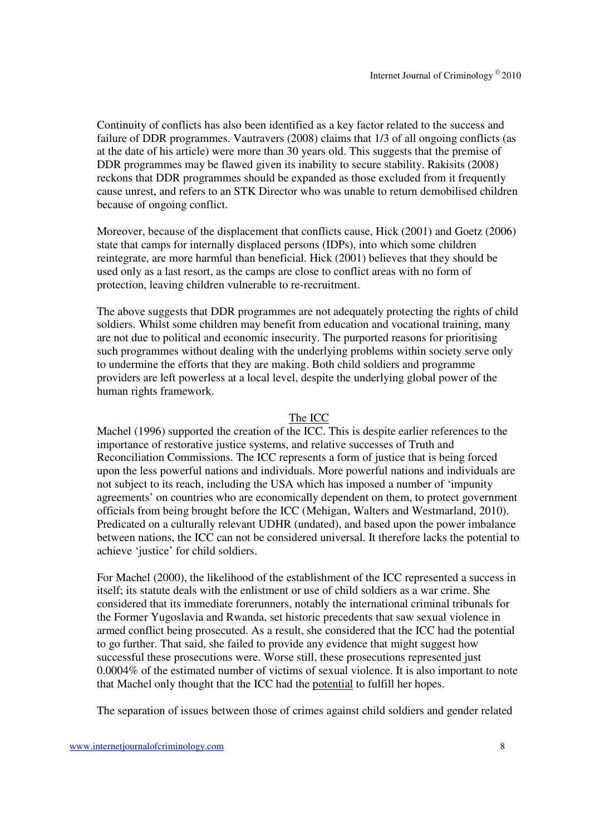Continuity of conflicts has also been identified as a key factor related to the success and failure of DDR programmes. Vautravers (2008) claims that 1/3 of all ongoing conflicts (as at the date of his article) were more than 30 years old. This suggests that the premise of DDR programmes may be flawed given its inability to secure stability. Rakisits (2008) reckons that DDR programmes should be expanded as those excluded from it frequently cause unrest, and refers to an STK Director who was unable to return demobilised children because of ongoing conflict.

Moreover, because of the displacement that conflicts cause, Hick (2001) and Goetz (2006) state that camps for internally displaced persons (IDPs), into which some children reintegrate, are more harmful than beneficial. Hick (2001) believes that they should be used only as a last resort, as the camps are close to conflict areas with no form of protection, leaving children vulnerable to re-recruitment.

The above suggests that DDR programmes are not adequately protecting the rights of child soldiers. Whilst some children may benefit from education and vocational training, many are not due to political and economic insecurity. The purported reasons for prioritising such programmes without dealing with the underlying problems within society serve only to undermine the efforts that they are making. Both child soldiers and programme providers are left powerless at a local level, despite the underlying global power of the human rights framework.

#### The ICC

Machel (1996) supported the creation of the ICC. This is despite earlier references to the importance of restorative justice systems, and relative successes of Truth and Reconciliation Commissions. The ICC represents a form of justice that is being forced upon the less powerful nations and individuals. More powerful nations and individuals are not subject to its reach, including the USA which has imposed a number of 'impunity agreements' on countries who are economically dependent on them, to protect government officials from being brought before the ICC (Mehigan, Walters and Westmarland, 2010). Predicated on a culturally relevant UDHR (undated), and based upon the power imbalance between nations, the ICC can not be considered universal. It therefore lacks the potential to achieve 'justice' for child soldiers.

For Machel (2000), the likelihood of the establishment of the ICC represented a success in itself; its statute deals with the enlistment or use of child soldiers as a war crime. She considered that its immediate forerunners, notably the international criminal tribunals for the Former Yugoslavia and Rwanda, set historic precedents that saw sexual violence in armed conflict being prosecuted. As a result, she considered that the ICC had the potential to go further. That said, she failed to provide any evidence that might suggest how successful these prosecutions were. Worse still, these prosecutions represented just 0.0004% of the estimated number of victims of sexual violence. It is also important to note that Machel only thought that the ICC had the potential to fulfill her hopes.

The separation of issues between those of crimes against child soldiers and gender related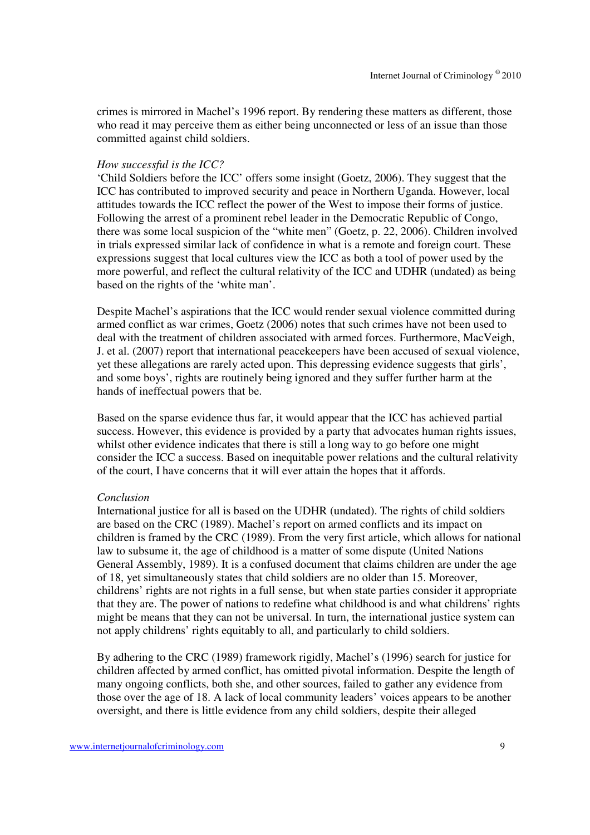crimes is mirrored in Machel's 1996 report. By rendering these matters as different, those who read it may perceive them as either being unconnected or less of an issue than those committed against child soldiers.

#### *How successful is the ICC?*

'Child Soldiers before the ICC' offers some insight (Goetz, 2006). They suggest that the ICC has contributed to improved security and peace in Northern Uganda. However, local attitudes towards the ICC reflect the power of the West to impose their forms of justice. Following the arrest of a prominent rebel leader in the Democratic Republic of Congo, there was some local suspicion of the "white men" (Goetz, p. 22, 2006). Children involved in trials expressed similar lack of confidence in what is a remote and foreign court. These expressions suggest that local cultures view the ICC as both a tool of power used by the more powerful, and reflect the cultural relativity of the ICC and UDHR (undated) as being based on the rights of the 'white man'.

Despite Machel's aspirations that the ICC would render sexual violence committed during armed conflict as war crimes, Goetz (2006) notes that such crimes have not been used to deal with the treatment of children associated with armed forces. Furthermore, MacVeigh, J. et al. (2007) report that international peacekeepers have been accused of sexual violence, yet these allegations are rarely acted upon. This depressing evidence suggests that girls', and some boys', rights are routinely being ignored and they suffer further harm at the hands of ineffectual powers that be.

Based on the sparse evidence thus far, it would appear that the ICC has achieved partial success. However, this evidence is provided by a party that advocates human rights issues, whilst other evidence indicates that there is still a long way to go before one might consider the ICC a success. Based on inequitable power relations and the cultural relativity of the court, I have concerns that it will ever attain the hopes that it affords.

#### *Conclusion*

International justice for all is based on the UDHR (undated). The rights of child soldiers are based on the CRC (1989). Machel's report on armed conflicts and its impact on children is framed by the CRC (1989). From the very first article, which allows for national law to subsume it, the age of childhood is a matter of some dispute (United Nations General Assembly, 1989). It is a confused document that claims children are under the age of 18, yet simultaneously states that child soldiers are no older than 15. Moreover, childrens' rights are not rights in a full sense, but when state parties consider it appropriate that they are. The power of nations to redefine what childhood is and what childrens' rights might be means that they can not be universal. In turn, the international justice system can not apply childrens' rights equitably to all, and particularly to child soldiers.

By adhering to the CRC (1989) framework rigidly, Machel's (1996) search for justice for children affected by armed conflict, has omitted pivotal information. Despite the length of many ongoing conflicts, both she, and other sources, failed to gather any evidence from those over the age of 18. A lack of local community leaders' voices appears to be another oversight, and there is little evidence from any child soldiers, despite their alleged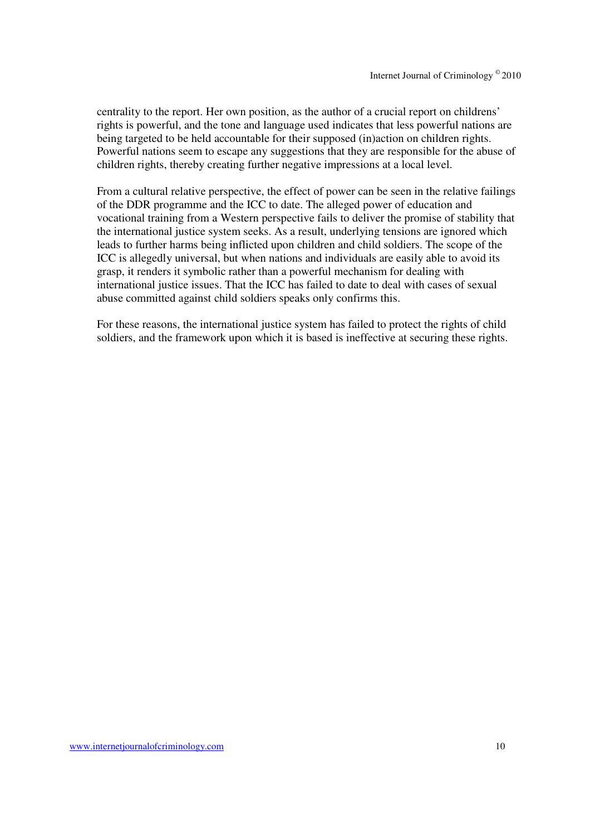centrality to the report. Her own position, as the author of a crucial report on childrens' rights is powerful, and the tone and language used indicates that less powerful nations are being targeted to be held accountable for their supposed (in)action on children rights. Powerful nations seem to escape any suggestions that they are responsible for the abuse of children rights, thereby creating further negative impressions at a local level.

From a cultural relative perspective, the effect of power can be seen in the relative failings of the DDR programme and the ICC to date. The alleged power of education and vocational training from a Western perspective fails to deliver the promise of stability that the international justice system seeks. As a result, underlying tensions are ignored which leads to further harms being inflicted upon children and child soldiers. The scope of the ICC is allegedly universal, but when nations and individuals are easily able to avoid its grasp, it renders it symbolic rather than a powerful mechanism for dealing with international justice issues. That the ICC has failed to date to deal with cases of sexual abuse committed against child soldiers speaks only confirms this.

For these reasons, the international justice system has failed to protect the rights of child soldiers, and the framework upon which it is based is ineffective at securing these rights.